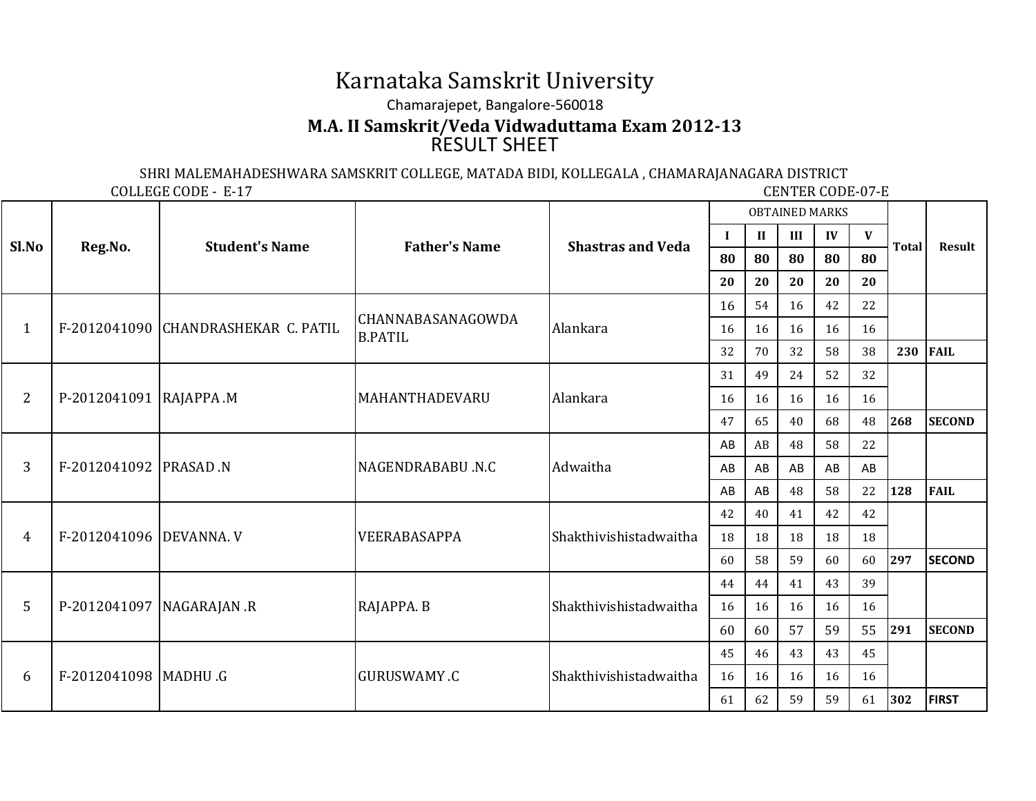## Karnataka Samskrit UniversityChamarajepet, Bangalore-560018RESULT SHEET**M.A. II Samskrit/Veda Vidwaduttama Exam 2012-13**

SHRI MALEMAHADESHWARA SAMSKRIT COLLEGE, MATADA BIDI, KOLLEGALA , CHAMARAJANAGARA DISTRICT

COLLEGE CODE - E-17

**CENTER CODE-07-E** 

| Sl.No          | Reg.No.                 | <b>Student's Name</b>               | <b>Father's Name</b>                       | <b>Shastras and Veda</b> | <b>OBTAINED MARKS</b> |              |     |    |    |              |               |
|----------------|-------------------------|-------------------------------------|--------------------------------------------|--------------------------|-----------------------|--------------|-----|----|----|--------------|---------------|
|                |                         |                                     |                                            |                          | -1                    | $\mathbf{I}$ | III | IV | V  | <b>Total</b> | Result        |
|                |                         |                                     |                                            |                          | 80                    | 80           | 80  | 80 | 80 |              |               |
|                |                         |                                     |                                            |                          | 20                    | 20           | 20  | 20 | 20 |              |               |
| $\mathbf{1}$   |                         | F-2012041090 CHANDRASHEKAR C. PATIL | <b>CHANNABASANAGOWDA</b><br><b>B.PATIL</b> | Alankara                 | 16                    | 54           | 16  | 42 | 22 |              |               |
|                |                         |                                     |                                            |                          | 16                    | 16           | 16  | 16 | 16 |              |               |
|                |                         |                                     |                                            |                          | 32                    | 70           | 32  | 58 | 38 | 230          | <b>FAIL</b>   |
| 2              | P-2012041091 RAJAPPA .M |                                     | MAHANTHADEVARU                             | Alankara                 | 31                    | 49           | 24  | 52 | 32 |              |               |
|                |                         |                                     |                                            |                          | 16                    | 16           | 16  | 16 | 16 |              |               |
|                |                         |                                     |                                            |                          | 47                    | 65           | 40  | 68 | 48 | 268          | <b>SECOND</b> |
| 3              | F-2012041092  PRASAD .N |                                     | NAGENDRABABU.N.C                           | Adwaitha                 | AB                    | AB           | 48  | 58 | 22 |              |               |
|                |                         |                                     |                                            |                          | AB                    | AB           | AB  | AB | AB |              |               |
|                |                         |                                     |                                            |                          | AB                    | AB           | 48  | 58 | 22 | 128          | <b>FAIL</b>   |
| $\overline{4}$ | F-2012041096 DEVANNA. V |                                     | VEERABASAPPA                               | Shakthivishistadwaitha   | 42                    | 40           | 41  | 42 | 42 |              |               |
|                |                         |                                     |                                            |                          | 18                    | 18           | 18  | 18 | 18 |              |               |
|                |                         |                                     |                                            |                          | 60                    | 58           | 59  | 60 | 60 | 297          | <b>SECOND</b> |
| 5              |                         | P-2012041097   NAGARAJAN .R         | RAJAPPA. B                                 | Shakthivishistadwaitha   | 44                    | 44           | 41  | 43 | 39 |              |               |
|                |                         |                                     |                                            |                          | 16                    | 16           | 16  | 16 | 16 |              |               |
|                |                         |                                     |                                            |                          | 60                    | 60           | 57  | 59 | 55 | 291          | <b>SECOND</b> |
| 6              | F-2012041098   MADHU .G |                                     | <b>GURUSWAMY .C</b>                        | Shakthivishistadwaitha   | 45                    | 46           | 43  | 43 | 45 |              |               |
|                |                         |                                     |                                            |                          | 16                    | 16           | 16  | 16 | 16 |              |               |
|                |                         |                                     |                                            |                          | 61                    | 62           | 59  | 59 | 61 | 302          | <b>FIRST</b>  |